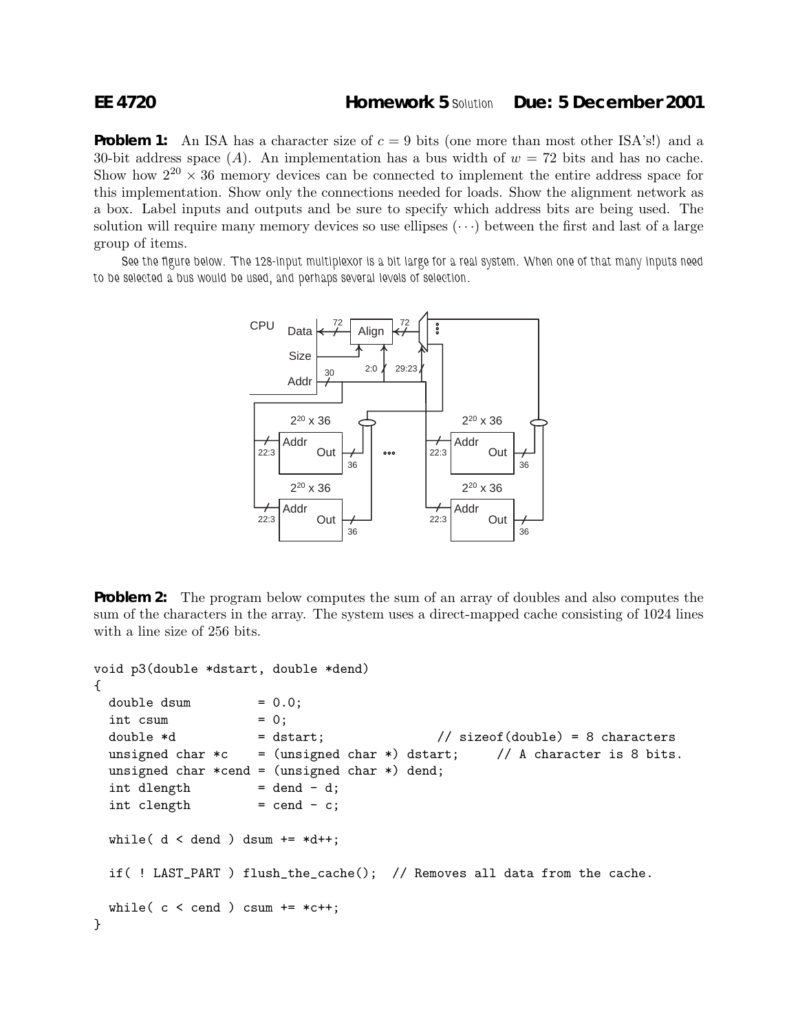## **EE 4720 Homework 5** *Solution* **Due: 5 December 2001**

**Problem 1:** An ISA has a character size of  $c = 9$  bits (one more than most other ISA's!) and a 30-bit address space (A). An implementation has a bus width of  $w = 72$  bits and has no cache. Show how  $2^{20} \times 36$  memory devices can be connected to implement the entire address space for this implementation. Show only the connections needed for loads. Show the alignment network as a box. Label inputs and outputs and be sure to specify which address bits are being used. The solution will require many memory devices so use ellipses  $(\cdots)$  between the first and last of a large group of items.

*See the figure below. The 128-input multiplexor is a bit large for a real system. When one of that many inputs need to be selected a bus would be used, and perhaps several levels of selection.*



**Problem 2:** The program below computes the sum of an array of doubles and also computes the sum of the characters in the array. The system uses a direct-mapped cache consisting of 1024 lines with a line size of 256 bits.

```
void p3(double *dstart, double *dend)
{
 double dsum = 0.0;
 \int int csum = 0;
 double *d = dstart; // sizeof(double) = 8 characters
 unsigned char *c = (unsigned char *) dstart; // A character is 8 bits.
 unsigned char *cend = (unsigned char *) dend;
 int dength = dend - d;
 int \text{clength} = cend - c;
 while( d < dend ) dsum += *d++;if( ! LAST_PART ) flush_the_cache(); // Removes all data from the cache.
 while( c < cend ) csum += *c++;
}
```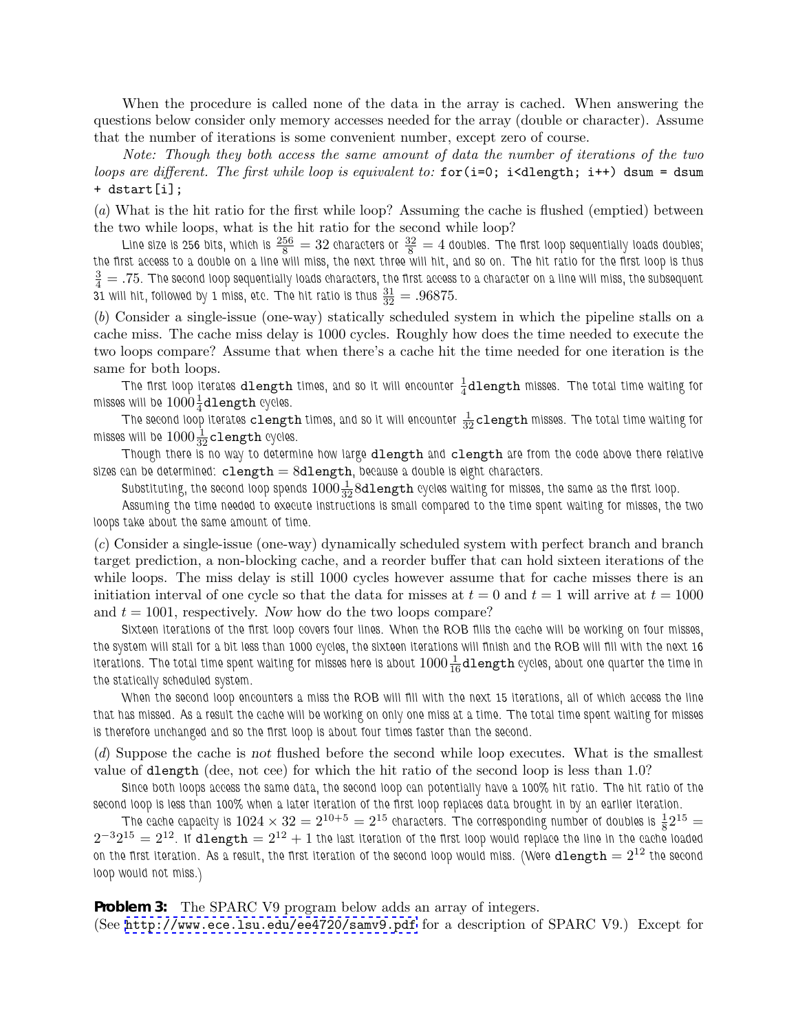When the procedure is called none of the data in the array is cached. When answering the questions below consider only memory accesses needed for the array (double or character). Assume that the number of iterations is some convenient number, except zero of course.

*Note: Though they both access the same amount of data the number of iterations of the two loops are different. The first while loop is equivalent to:* for(i=0; i<dlength; i++) dsum = dsum + dstart[i];

(*a*) What is the hit ratio for the first while loop? Assuming the cache is flushed (emptied) between the two while loops, what is the hit ratio for the second while loop?

Line size is 256 bits, which is  $\frac{256}{8} = 32$  characters or  $\frac{32}{8} = 4$  doubles. The first loop sequentially loads doubles; *the first access to a double on a line will miss, the next three will hit, and so on. The hit ratio for the first loop is thus*  $\frac{3}{4}$   $=$  .75. The second loop sequentially loads characters, the first access to a character on a line will miss, the subsequent  $31$  will hit, followed by 1 miss, etc. The hit ratio is thus  $\frac{31}{32} = .96875$ .

(*b*) Consider a single-issue (one-way) statically scheduled system in which the pipeline stalls on a cache miss. The cache miss delay is 1000 cycles. Roughly how does the time needed to execute the two loops compare? Assume that when there's a cache hit the time needed for one iteration is the same for both loops.

The first loop iterates  $\mathtt{dlength}$  times, and so it will encounter  $\frac{1}{4}\mathtt{dlength}$  misses. The total time waiting for misses will be  $1000\frac{1}{4}$ **dlength** cycles.

The second loop iterates  ${\tt clength}$  times, and so it will encounter  $\frac{1}{32}{\tt clength}$  misses. The total time waiting for misses will be  $1000\frac{1}{32}$ **clength** cycles.

*Though there is no way to determine how large* dlength *and* clength *are from the code above there relative sizes can be determined:* clength = 8dlength*, because a double is eight characters.*

 $S$ ubstituting, the second loop spends  $1000\frac{1}{32}8$ d $1$ e ${\rm ngt}$ h cycles waiting for misses, the same as the first loop.

*Assuming the time needed to execute instructions is small compared to the time spent waiting for misses, the two loops take about the same amount of time.*

(*c*) Consider a single-issue (one-way) dynamically scheduled system with perfect branch and branch target prediction, a non-blocking cache, and a reorder buffer that can hold sixteen iterations of the while loops. The miss delay is still 1000 cycles however assume that for cache misses there is an initiation interval of one cycle so that the data for misses at  $t = 0$  and  $t = 1$  will arrive at  $t = 1000$ and  $t = 1001$ , respectively. Now how do the two loops compare?

*Sixteen iterations of the first loop covers four lines. When the ROB fills the cache will be working on four misses, the system will stall for a bit less than 1000 cycles, the sixteen iterations will finish and the ROB will fill with the next 16* iterations. The total time spent waiting for misses here is about  $1000\frac{1}{16}$ dlength cycles, about one quarter the time in *the statically scheduled system.*

*When the second loop encounters a miss the ROB will fill with the next 15 iterations, all of which access the line that has missed. As a result the cache will be working on only one miss at a time. The total time spent waiting for misses is therefore unchanged and so the first loop is about four times faster than the second.*

(*d*) Suppose the cache is not flushed before the second while loop executes. What is the smallest value of dlength (dee, not cee) for which the hit ratio of the second loop is less than 1.0?

*Since both loops access the same data, the second loop can potentially have a 100% hit ratio. The hit ratio of the second loop is less than 100% when a later iteration of the first loop replaces data brought in by an earlier iteration.*

The cache capacity is  $1024 \times 32 = 2^{10+5} = 2^{15}$  characters. The corresponding number of doubles is  $\frac{1}{8}2^{15} =$  $2^{-3}2^{15} = 2^{12}$ . If dlength  $= 2^{12} + 1$  the last iteration of the first loop would replace the line in the cache loaded on the first iteration. As a result, the first iteration of the second loop would miss. (Were  $\text{dlength} = 2^{12}$  the second *loop would not miss.)*

**Problem 3:** The SPARC V9 program below adds an array of integers. (See <http://www.ece.lsu.edu/ee4720/samv9.pdf> for a description of SPARC V9.) Except for